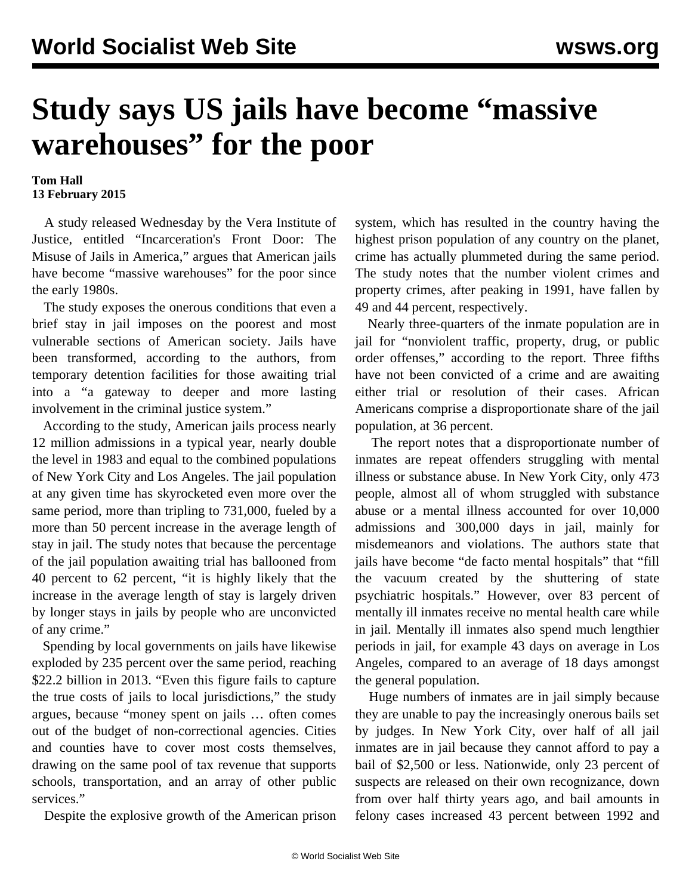## **Study says US jails have become "massive warehouses" for the poor**

## **Tom Hall 13 February 2015**

 A study released Wednesday by the Vera Institute of Justice, entitled "Incarceration's Front Door: The Misuse of Jails in America," argues that American jails have become "massive warehouses" for the poor since the early 1980s.

 The study exposes the onerous conditions that even a brief stay in jail imposes on the poorest and most vulnerable sections of American society. Jails have been transformed, according to the authors, from temporary detention facilities for those awaiting trial into a "a gateway to deeper and more lasting involvement in the criminal justice system."

 According to the study, American jails process nearly 12 million admissions in a typical year, nearly double the level in 1983 and equal to the combined populations of New York City and Los Angeles. The jail population at any given time has skyrocketed even more over the same period, more than tripling to 731,000, fueled by a more than 50 percent increase in the average length of stay in jail. The study notes that because the percentage of the jail population awaiting trial has ballooned from 40 percent to 62 percent, "it is highly likely that the increase in the average length of stay is largely driven by longer stays in jails by people who are unconvicted of any crime."

 Spending by local governments on jails have likewise exploded by 235 percent over the same period, reaching \$22.2 billion in 2013. "Even this figure fails to capture the true costs of jails to local jurisdictions," the study argues, because "money spent on jails … often comes out of the budget of non-correctional agencies. Cities and counties have to cover most costs themselves, drawing on the same pool of tax revenue that supports schools, transportation, and an array of other public services."

Despite the explosive growth of the American prison

system, which has resulted in the country having the highest prison population of any country on the planet, crime has actually plummeted during the same period. The study notes that the number violent crimes and property crimes, after peaking in 1991, have fallen by 49 and 44 percent, respectively.

 Nearly three-quarters of the inmate population are in jail for "nonviolent traffic, property, drug, or public order offenses," according to the report. Three fifths have not been convicted of a crime and are awaiting either trial or resolution of their cases. African Americans comprise a disproportionate share of the jail population, at 36 percent.

 The report notes that a disproportionate number of inmates are repeat offenders struggling with mental illness or substance abuse. In New York City, only 473 people, almost all of whom struggled with substance abuse or a mental illness accounted for over 10,000 admissions and 300,000 days in jail, mainly for misdemeanors and violations. The authors state that jails have become "de facto mental hospitals" that "fill the vacuum created by the shuttering of state psychiatric hospitals." However, over 83 percent of mentally ill inmates receive no mental health care while in jail. Mentally ill inmates also spend much lengthier periods in jail, for example 43 days on average in Los Angeles, compared to an average of 18 days amongst the general population.

 Huge numbers of inmates are in jail simply because they are unable to pay the increasingly onerous bails set by judges. In New York City, over half of all jail inmates are in jail because they cannot afford to pay a bail of \$2,500 or less. Nationwide, only 23 percent of suspects are released on their own recognizance, down from over half thirty years ago, and bail amounts in felony cases increased 43 percent between 1992 and